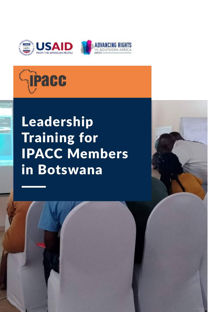



# Leadership Training for IPACC Members in Botswana

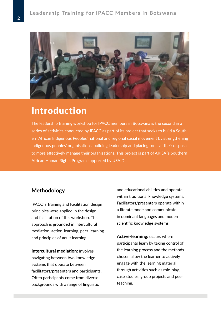

## Introduction

The leadership training workshop for IPACC members in Botswana is the second in a series of activities conducted by IPACC as part of its project that seeks to build a Southern African Indigenous Peoples' national and regional social movement by strengthening indigenous peoples' organisations, building leadership and placing tools at their disposal to more effectively manage their organisations. This project is part of ARISA´s Southern African Human Rights Program supported by USAID.

## **Methodology**

IPACC´s Training and Facilitation design principles were applied in the design and facilitation of this workshop. This approach is grounded in intercultural mediation, action-learning, peer-learning and principles of adult learning.

**Intercultural mediation:** Involves navigating between two knowledge systems that operate between facilitators/presenters and participants. Often participants come from diverse backgrounds with a range of linguistic

and educational abilities and operate within traditional knowledge systems. Facilitators/presenters operate within a literate mode and communicate in dominant languages and modern scientific knowledge systems.

**Active-learning:** occurs where participants learn by taking control of the learning process and the methods chosen allow the learner to actively engage with the learning material through activities such as role-play, case studies, group projects and peer teaching.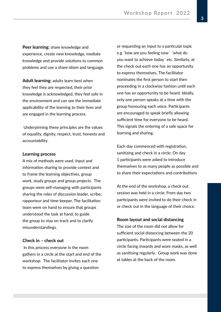**Peer learning:** share knowledge and experience, create new knowledge, mediate knowledge and provide solutions to common problems and use a share idiom and language.

**Adult learning:** adults learn best when they feel they are respected, their prior knowledge is acknowledged, they feel safe in the environment and can see the immediate applicability of the learning to their lives and are engaged in the learning process.

 Underpinning these principles are the values of equality, dignity, respect, trust, honesty and accountability.

#### **Learning process**

A mix of methods were used. Input and information sharing to provide context and to frame the learning objectives, group work, study groups and group projects. The groups were self-managing with participants sharing the roles of discussion leader, scribe, rapporteur and time-keeper. The facilitation team were on hand to ensure that groups understood the task at hand, to guide the group to stay on track and to clarify misunderstandings.

#### **Check in – check out**

 In this process everyone in the room gathers in a circle at the start and end of the workshop. The facilitator invites each one to express themselves by giving a question

or requesting an input to a particular topic e.g ´how are you feeling now´ ´what do you want to achieve today´ etc. Similarly, at the check out each one has an opportunity to express themselves. The facilitator nominates the first person to start then proceeding in a clockwise fashion until each one has an opportunity to be heard. Ideally, only one person speaks at a time with the group honouring each voice. Participants are encouraged to speak briefly allowing sufficient time for everyone to be heard. This signals the entering of a safe space for learning and sharing.

Each day commenced with registration, sanitizing and check in a circle. On day 1 participants were asked to introduce themselves to as many people as possible and to share their expectations and contributions

At the end of the workshop, a check out session was held in a circle. From day two participants were invited to do their check in or check out in the language of their choice.

#### **Room layout and social distancing**

The size of the room did not allow for sufficient social distancing between the 20 participants. Participants were seated in a circle facing inwards and wore masks, as well as sanitising regularly. Group work was done at tables at the back of the room.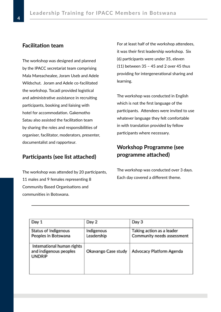## **Facilitation team**

The workshop was designed and planned by the IPACC secretariat team comprising Mala Mareachealee, Joram Useb and Adele Wildschut. Joram and Adele co-facilitated the workshop. Tocadi provided logistical and administrative assistance in recruiting participants, booking and liaising with hotel for accommodation. Gakemotho Satau also assisted the facilitation team by sharing the roles and responsibilities of organiser, facilitator, moderators, presenter, documentalist and rapporteur.

## **Participants (see list attached)**

The workshop was attended by 20 participants, 11 males and 9 females representing 8 Community Based Organisations and communities in Botswana.

For at least half of the workshop attendees, it was their first leadership workshop. Six (6) participants were under 35, eleven (11) between 35 – 45 and 2 over 45 thus providing for intergenerational sharing and learning.

The workshop was conducted in English which is not the first language of the participants. Attendees were invited to use whatever language they felt comfortable in with translation provided by fellow participants where necessary.

## **Workshop Programme (see programme attached)**

The workshop was conducted over 3 days. Each day covered a different theme.

| Day 1                                                                 | Day 2                    | Day 3                                                   |
|-----------------------------------------------------------------------|--------------------------|---------------------------------------------------------|
| Status of Indigenous<br>Peoples in Botswana                           | Indigenous<br>Leadership | Taking action as a leader<br>Community needs assessment |
| International human rights<br>and indigenous peoples<br><b>UNDRIP</b> | Okavango Case study      | Advocacy Platform Agenda                                |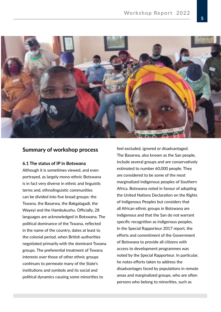

## **Summary of workshop process**

#### **6.1 The status of IP in Botswana**

Although it is sometimes viewed, and even portrayed, as largely mono-ethnic Botswana is in fact very diverse in ethnic and linguistic terms and, ethnolinguistic communities can be divided into five broad groups: the Tswana, the Basarwa, the Bakgalagadi, the Wayeyi and the Hambukushu. Officially, 28 languages are acknowledged in Botswana. The political dominance of the Tswana, reflected in the name of the country, dates at least to the colonial period, when British authorities negotiated primarily with the dominant Tswana groups. The preferential treatment of Tswana interests over those of other ethnic groups continues to permeate many of the State's institutions and symbols and its social and political dynamics causing some minorities to

feel excluded, ignored or disadvantaged. The Basarwa, also known as the San people, include several groups and are conservatively estimated to number 60,000 people. They are considered to be some of the most marginalized indigenous peoples of Southern Africa. Botswana voted in favour of adopting the United Nations Declaration on the Rights of Indigenous Peoples but considers that all African ethnic groups in Botswana are indigenous and that the San do not warrant specific recognition as indigenous peoples. In the Special Rapporteur 2017 report, the efforts and commitment of the Government of Botswana to provide all citizens with access to development programmes was noted by the Special Rapporteur. In particular, he notes efforts taken to address the disadvantages faced by populations in remote areas and marginalized groups, who are often persons who belong to minorities, such as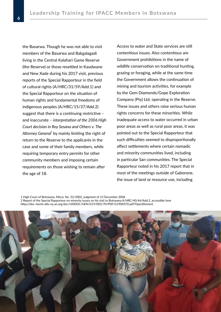the Basarwa. Though he was not able to visit members of the Basarwa and Bakgalagadi living in the Central Kalahari Game Reserve (the Reserve) or those resettled in Kaudwane and New Xade during his 2017 visit, previous reports of the Special Rapporteur in the field of cultural rights (A/HRC/31/59/Add.1) and the Special Rapporteur on the situation of human rights and fundamental freedoms of indigenous peoples (A/HRC/15/37/Add.2) suggest that there is a continuing restrictive – and inaccurate – *interpretation of the 2006 High Court decision in Roy Sesana and Others v. The*  Attorney General<sup>1</sup> by mainly limiting the right of return to the Reserve to the applicants in the case and some of their family members, while requiring temporary entry permits for other community members and imposing certain requirements on those wishing to remain after the age of 18.

Access to water and State services are still contentious issues. Also contentious are Government prohibitions in the name of wildlife conservation on traditional hunting, grazing or foraging, while at the same time the Government allows the continuation of mining and tourism activities, for example by the Gem Diamonds/Gope Exploration Company (Pty) Ltd. operating in the Reserve. These issues and others raise serious human rights concerns for these minorities. While inadequate access to water occurred in urban poor areas as well as rural poor areas, it was pointed out to the Special Rapporteur that such difficulties seemed to disproportionally affect settlements where certain nomadic and minority communities lived, including in particular San communities. The Special Rapporteur noted in his 2017 report that in most of the meetings outside of Gaborone, the issue of land or resource use, including

1 High Court of Botswana, Misca. No. 52/2002, judgment of 13 December 2006 2 Report of the Special Rapporteur on minority issues on his visit to Botswana A/HRC/40/64/Add.2, accessible here https://doc ments-dds-ny.un.org/doc/UNDOC/GEN/G19/003/70/PDF/G1900370.pdf?OpenElement

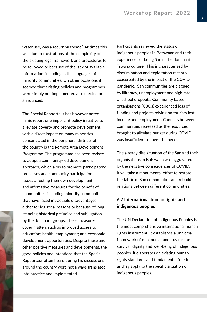water use, was a recurring theme. $\degree$  At times this was due to frustrations at the complexity of the existing legal framework and procedures to be followed or because of the lack of available information, including in the languages of minority communities. On other occasions it seemed that existing policies and programmes were simply not implemented as expected or announced.

good policies and intentions that the Special repres. The Special Rapporteur has however noted in his report one important policy initiative to alleviate poverty and promote development, with a direct impact on many minorities concentrated in the peripheral districts of the country is the Remote Area Development Programme. The programme has been revised to adopt a community-led development approach, which aims to promote participatory processes and community participation in issues affecting their own development and affirmative measures for the benefit of communities, including minority communities that have faced intractable disadvantages either for logistical reasons or because of longstanding historical prejudice and subjugation by the dominant groups. These measures cover matters such as improved access to education; health; employment; and economic development opportunities. Despite these and other positive measures and developments, the Rapporteur often heard during his discussions around the country were not always translated into practice and implemented.

Participants reviewed the status of indigenous peoples in Botswana and their experiences of being San in the dominant Tswana culture. This is characterised by discrimination and exploitation recently exacerbated by the impact of the COVID pandemic. San communities are plagued by illiteracy, unemployment and high rate of school dropouts. Community based organisations (CBOs) experienced loss of funding and projects relying on tourism lost income and employment. Conflicts between communities increased as the resources brought to alleviate hunger during COVID was insufficient to meet the needs.

The already dire situation of the San and their organisations in Botswana was aggravated by the negative consequences of COVID. It will take a monumental effort to restore the fabric of San communities and rebuild relations between different communities.

### **6.2 International human rights and indigenous peoples**

ment: and economic rights instrument. It establishes a universal es. Despite these and framework of minimum standards for the nd developments, the survival, dignity and well-being of indigenous The UN Declaration of Indigenous Peoples is the most comprehensive international human peoples. It elaborates on existing human rights standards and fundamental freedoms as they apply to the specific situation of indigenous peoples.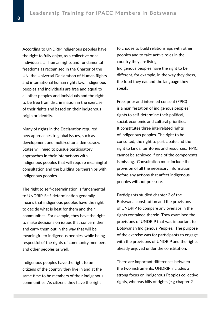According to UNDRIP indigenous peoples have the right to fully enjoy, as a collective or as individuals, all human rights and fundamental freedoms as recognised in the Charter of the UN, the Universal Declaration of Human Rights and international human rights law. Indigenous peoples and individuals are free and equal to all other peoples and individuals and the right to be free from discrimination in the exercise of their rights and based on their indigenous origin or identity.

Many of rights in the Declaration required new approaches to global issues, such as development and multi-cultural democracy. States will need to pursue participatory approaches in their interactions with indigenous peoples that will require meaningful consultation and the building partnerships with indigenous peoples.

The right to self-determination is fundamental to UNDRIP. Self-determination generally means that indigenous peoples have the right to decide what is best for them and their communities. For example, they have the right to make decisions on issues that concern them and carry them out in the way that will be meaningful to indigenous peoples, while being respectful of the rights of community members and other peoples as well.

Indigenous peoples have the right to be citizens of the country they live in and at the same time to be members of their indigenous communities. As citizens they have the right

to choose to build relationships with other peoples and to take active roles in the country they are living. Indigenous peoples have the right to be different, for example, in the way they dress, the food they eat and the language they speak.

Free, prior and informed consent (FPIC) is a manifestation of indigenous peoples´ rights to self-determine their political, social, economic and cultural priorities. It constitutes three interrelated rights of indigenous peoples. The right to be consulted, the right to participate and the right to lands, territories and resources. FPIC cannot be achieved if one of the components is missing. Consultation must include the provision of all the necessary information before any actions that affect indigenous peoples without pressure.

Participants studied chapter 2 of the Botswana constitution and the provisions of UNDRIP to compare any overlaps in the rights contained therein. They examined the provisions of UNDRIP that was important to Botswanan Indigenous Peoples. The purpose of the exercise was for participants to engage with the provisions of UNDRIP and the rights already enjoyed under the constitution.

There are important differences between the two instruments. UNDRIP includes a strong focus on Indigenous Peoples collective rights, whereas bills of rights (e.g chapter 2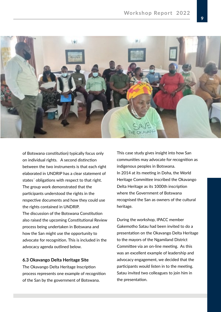

of Botswana constitution) typically focus only on individual rights. A second distinction between the two instruments is that each right elaborated in UNDRIP has a clear statement of states´ obligations with respect to that right. The group work demonstrated that the participants understood the rights in the respective documents and how they could use the rights contained in UNDRIP. The discussion of the Botswana Constitution also raised the upcoming Constitutional Review process being undertaken in Botswana and how the San might use the opportunity to advocate for recognition. This is included in the advocacy agenda outlined below.

#### **6.3 Okavango Delta Heritage Site**

The Okavango Delta Heritage Inscription process represents one example of recognition of the San by the government of Botswana.

This case study gives insight into how San communities may advocate for recognition as indigenous peoples in Botswana. In 2014 at its meeting in Doha, the World Heritage Committee inscribed the Okavango Delta Heritage as its 1000th inscription where the Government of Botswana recognised the San as owners of the cultural heritage.

During the workshop, IPACC member Gakemotho Satau had been invited to do a presentation on the Okavango Delta Heritage to the mayors of the Ngamiland District Committee via an on-line meeting. As this was an excellent example of leadership and advocacy engagement, we decided that the participants would listen in to the meeting. Satau invited two colleagues to join him in the presentation.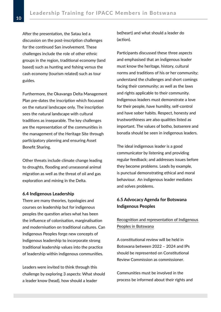After the presentation, the Satau led a discussion on the post-inscription challenges for the continued San involvement. These challenges include the role of other ethnic groups in the region, traditional economy (land based) such as hunting and fishing versus the cash economy (tourism related) such as tour guides.

Furthermore, the Okavango Delta Management Plan pre-dates the inscription which focussed on the natural landscape only. The inscription sees the natural landscape with cultural traditions as inseparable. The key challenges are the representation of the communities in the management of the Heritage Site through participatory planning and ensuring Asset Benefit Sharing.

Other threats include climate change leading to droughts, flooding and unseasonal animal migration as well as the threat of oil and gas exploration and mining in the Delta.

#### **6.4 Indigenous Leadership**

There are many theories, typologies and courses on leadership but for indigenous peoples the question arises what has been the influence of colonisation, marginalisation and modernisation on traditional cultures. Can Indigenous Peoples forge new concepts of Indigenous leadership to incorporate strong traditional leadership values into the practice of leadership within indigenous communities.

Leaders were invited to think through this challenge by exploring 3 aspects: What should a leader know (head), how should a leader

be(heart) and what should a leader do (action).

Participants discussed these three aspects and emphasised that an indigenous leader must know the heritage, history, cultural norms and traditions of his or her community; understand the challenges and short comings facing their community; as well as the laws and rights applicable to their community. Indigenous leaders must demonstrate a love for their people, have humility, self-control and have sober habits. Respect, honesty and trustworthiness are also qualities listed as important. The values of botho, botserere and bonatla should be seen in indigenous leaders.

The ideal indigenous leader is a good communicator by listening and providing regular feedback; and addresses issues before they become problems. Leads by example, is punctual demonstrating ethical and moral behaviour. An indigenous leader mediates and solves problems.

## **6.5 Advocacy Agenda for Botswana Indigenous Peoples**

## Recognition and representation of Indigenous Peoples in Botswana

A constitutional review will be held in Botswana between 2022 – 2024 and IPs should be represented on Constitutional Review Commission as commissioner.

Communities must be involved in the process be informed about their rights and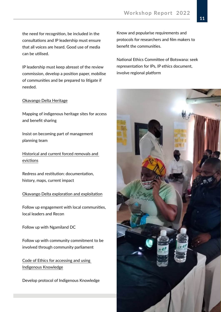the need for recognition, be included in the consultations and IP leadership must ensure that all voices are heard. Good use of media can be utilised.

IP leadership must keep abreast of the review commission, develop a position paper, mobilise of communities and be prepared to litigate if needed.

#### Okavango Delta Heritage

Mapping of indigenous heritage sites for access and benefit sharing

Insist on becoming part of management planning team

Historical and current forced removals and evictions

Redress and restitution: documentation, history, maps, current impact

#### Okavango Delta exploration and exploitation

Follow up engagement with local communities, local leaders and Recon

Follow up with Ngamiland DC

Follow up with community commitment to be involved through community parliament

Code of Ethics for accessing and using Indigenous Knowledge

Develop protocol of Indigenous Knowledge

Know and popularise requirements and protocols for researchers and film makers to benefit the communities.

National Ethics Committee of Botswana: seek representation for IPs, IP ethics document, involve regional platform